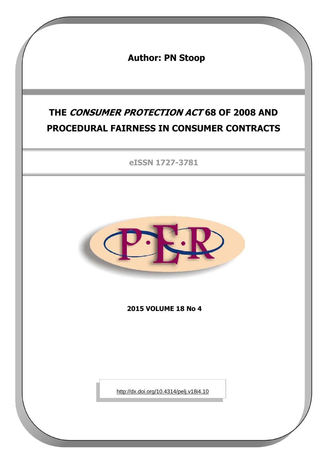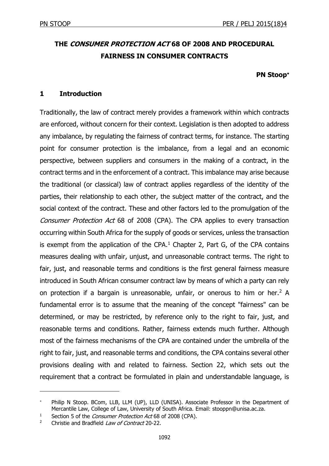# **THE CONSUMER PROTECTION ACT 68 OF 2008 AND PROCEDURAL FAIRNESS IN CONSUMER CONTRACTS**

## **PN Stoop**

# **1 Introduction**

Traditionally, the law of contract merely provides a framework within which contracts are enforced, without concern for their context. Legislation is then adopted to address any imbalance, by regulating the fairness of contract terms, for instance. The starting point for consumer protection is the imbalance, from a legal and an economic perspective, between suppliers and consumers in the making of a contract, in the contract terms and in the enforcement of a contract. This imbalance may arise because the traditional (or classical) law of contract applies regardless of the identity of the parties, their relationship to each other, the subject matter of the contract, and the social context of the contract. These and other factors led to the promulgation of the Consumer Protection Act 68 of 2008 (CPA). The CPA applies to every transaction occurring within South Africa for the supply of goods or services, unless the transaction is exempt from the application of the CPA. $<sup>1</sup>$  Chapter 2, Part G, of the CPA contains</sup> measures dealing with unfair, unjust, and unreasonable contract terms. The right to fair, just, and reasonable terms and conditions is the first general fairness measure introduced in South African consumer contract law by means of which a party can rely on protection if a bargain is unreasonable, unfair, or onerous to him or her.<sup>2</sup> A fundamental error is to assume that the meaning of the concept "fairness" can be determined, or may be restricted, by reference only to the right to fair, just, and reasonable terms and conditions. Rather, fairness extends much further. Although most of the fairness mechanisms of the CPA are contained under the umbrella of the right to fair, just, and reasonable terms and conditions, the CPA contains several other provisions dealing with and related to fairness. Section 22, which sets out the requirement that a contract be formulated in plain and understandable language, is

Philip N Stoop. BCom, LLB, LLM (UP), LLD (UNISA). Associate Professor in the Department of Mercantile Law, College of Law, University of South Africa. Email: stooppn@unisa.ac.za.

<sup>&</sup>lt;sup>1</sup> Section 5 of the *Consumer Protection Act* 68 of 2008 (CPA).

<sup>&</sup>lt;sup>2</sup> Christie and Bradfield *Law of Contract* 20-22.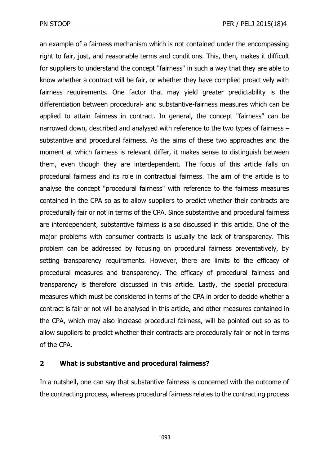an example of a fairness mechanism which is not contained under the encompassing right to fair, just, and reasonable terms and conditions. This, then, makes it difficult for suppliers to understand the concept "fairness" in such a way that they are able to know whether a contract will be fair, or whether they have complied proactively with fairness requirements. One factor that may yield greater predictability is the differentiation between procedural- and substantive-fairness measures which can be applied to attain fairness in contract. In general, the concept "fairness" can be narrowed down, described and analysed with reference to the two types of fairness – substantive and procedural fairness. As the aims of these two approaches and the moment at which fairness is relevant differ, it makes sense to distinguish between them, even though they are interdependent. The focus of this article falls on procedural fairness and its role in contractual fairness. The aim of the article is to analyse the concept "procedural fairness" with reference to the fairness measures contained in the CPA so as to allow suppliers to predict whether their contracts are procedurally fair or not in terms of the CPA. Since substantive and procedural fairness are interdependent, substantive fairness is also discussed in this article. One of the major problems with consumer contracts is usually the lack of transparency. This problem can be addressed by focusing on procedural fairness preventatively, by setting transparency requirements. However, there are limits to the efficacy of procedural measures and transparency. The efficacy of procedural fairness and transparency is therefore discussed in this article. Lastly, the special procedural measures which must be considered in terms of the CPA in order to decide whether a contract is fair or not will be analysed in this article, and other measures contained in the CPA, which may also increase procedural fairness, will be pointed out so as to allow suppliers to predict whether their contracts are procedurally fair or not in terms of the CPA.

### **2 What is substantive and procedural fairness?**

In a nutshell, one can say that substantive fairness is concerned with the outcome of the contracting process, whereas procedural fairness relates to the contracting process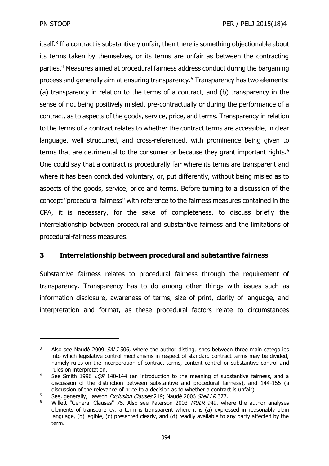-

itself.<sup>3</sup> If a contract is substantively unfair, then there is something objectionable about its terms taken by themselves, or its terms are unfair as between the contracting parties.<sup>4</sup> Measures aimed at procedural fairness address conduct during the bargaining process and generally aim at ensuring transparency.<sup>5</sup> Transparency has two elements: (a) transparency in relation to the terms of a contract, and (b) transparency in the sense of not being positively misled, pre-contractually or during the performance of a contract, as to aspects of the goods, service, price, and terms. Transparency in relation to the terms of a contract relates to whether the contract terms are accessible, in clear language, well structured, and cross-referenced, with prominence being given to terms that are detrimental to the consumer or because they grant important rights.<sup>6</sup> One could say that a contract is procedurally fair where its terms are transparent and where it has been concluded voluntary, or, put differently, without being misled as to aspects of the goods, service, price and terms. Before turning to a discussion of the concept "procedural fairness" with reference to the fairness measures contained in the CPA, it is necessary, for the sake of completeness, to discuss briefly the interrelationship between procedural and substantive fairness and the limitations of procedural-fairness measures.

# **3 Interrelationship between procedural and substantive fairness**

Substantive fairness relates to procedural fairness through the requirement of transparency. Transparency has to do among other things with issues such as information disclosure, awareness of terms, size of print, clarity of language, and interpretation and format, as these procedural factors relate to circumstances

 $3$  Also see Naudé 2009 *SALJ* 506, where the author distinguishes between three main categories into which legislative control mechanisms in respect of standard contract terms may be divided, namely rules on the incorporation of contract terms, content control or substantive control and rules on interpretation.

<sup>&</sup>lt;sup>4</sup> See Smith 1996 *LQR* 140-144 (an introduction to the meaning of substantive fairness, and a discussion of the distinction between substantive and procedural fairness), and 144-155 (a discussion of the relevance of price to a decision as to whether a contract is unfair).

<sup>5</sup> See, generally, Lawson *Exclusion Clauses* 219; Naudé 2006 *Stell LR* 377.

Willett "General Clauses" 75. Also see Paterson 2003 MULR 949, where the author analyses elements of transparency: a term is transparent where it is (a) expressed in reasonably plain language, (b) legible, (c) presented clearly, and (d) readily available to any party affected by the term.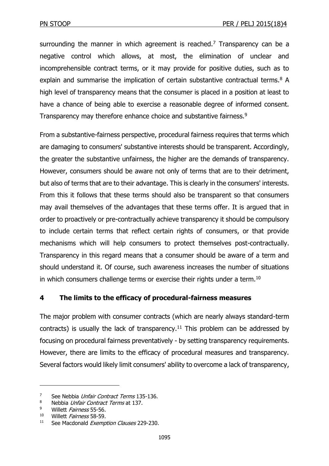surrounding the manner in which agreement is reached.<sup>7</sup> Transparency can be a negative control which allows, at most, the elimination of unclear and incomprehensible contract terms, or it may provide for positive duties, such as to explain and summarise the implication of certain substantive contractual terms. $8$  A high level of transparency means that the consumer is placed in a position at least to have a chance of being able to exercise a reasonable degree of informed consent. Transparency may therefore enhance choice and substantive fairness.<sup>9</sup>

From a substantive-fairness perspective, procedural fairness requires that terms which are damaging to consumers' substantive interests should be transparent. Accordingly, the greater the substantive unfairness, the higher are the demands of transparency. However, consumers should be aware not only of terms that are to their detriment, but also of terms that are to their advantage. This is clearly in the consumers' interests. From this it follows that these terms should also be transparent so that consumers may avail themselves of the advantages that these terms offer. It is argued that in order to proactively or pre-contractually achieve transparency it should be compulsory to include certain terms that reflect certain rights of consumers, or that provide mechanisms which will help consumers to protect themselves post-contractually. Transparency in this regard means that a consumer should be aware of a term and should understand it. Of course, such awareness increases the number of situations in which consumers challenge terms or exercise their rights under a term.<sup>10</sup>

# **4 The limits to the efficacy of procedural-fairness measures**

The major problem with consumer contracts (which are nearly always standard-term contracts) is usually the lack of transparency.<sup>11</sup> This problem can be addressed by focusing on procedural fairness preventatively - by setting transparency requirements. However, there are limits to the efficacy of procedural measures and transparency. Several factors would likely limit consumers' ability to overcome a lack of transparency,

<sup>&</sup>lt;sup>7</sup> See Nebbia *Unfair Contract Terms* 135-136.

<sup>&</sup>lt;sup>8</sup> Nebbia *Unfair Contract Terms* at 137.<br>9 Willett *Fairness* 55-56

Willett Fairness 55-56.

<sup>&</sup>lt;sup>10</sup> Willett *Fairness* 58-59.

 $11$  See Macdonald *Exemption Clauses* 229-230.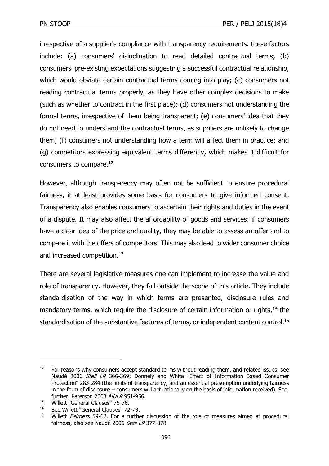irrespective of a supplier's compliance with transparency requirements. these factors include: (a) consumers' disinclination to read detailed contractual terms; (b) consumers' pre-existing expectations suggesting a successful contractual relationship, which would obviate certain contractual terms coming into play; (c) consumers not reading contractual terms properly, as they have other complex decisions to make (such as whether to contract in the first place); (d) consumers not understanding the formal terms, irrespective of them being transparent; (e) consumers' idea that they do not need to understand the contractual terms, as suppliers are unlikely to change them; (f) consumers not understanding how a term will affect them in practice; and (g) competitors expressing equivalent terms differently, which makes it difficult for consumers to compare.<sup>12</sup>

However, although transparency may often not be sufficient to ensure procedural fairness, it at least provides some basis for consumers to give informed consent. Transparency also enables consumers to ascertain their rights and duties in the event of a dispute. It may also affect the affordability of goods and services: if consumers have a clear idea of the price and quality, they may be able to assess an offer and to compare it with the offers of competitors. This may also lead to wider consumer choice and increased competition.<sup>13</sup>

There are several legislative measures one can implement to increase the value and role of transparency. However, they fall outside the scope of this article. They include standardisation of the way in which terms are presented, disclosure rules and mandatory terms, which require the disclosure of certain information or rights,  $14$  the standardisation of the substantive features of terms, or independent content control.<sup>15</sup>

 $12$  For reasons why consumers accept standard terms without reading them, and related issues, see Naudé 2006 Stell LR 366-369; Donnely and White "Effect of Information Based Consumer Protection" 283-284 (the limits of transparency, and an essential presumption underlying fairness in the form of disclosure – consumers will act rationally on the basis of information received). See, further, Paterson 2003 MULR 951-956.

<sup>&</sup>lt;sup>13</sup> Willett "General Clauses" 75-76.<br><sup>14</sup> See Willett "General Clauses" 72

See Willett "General Clauses" 72-73.

<sup>&</sup>lt;sup>15</sup> Willett *Fairness* 59-62. For a further discussion of the role of measures aimed at procedural fairness, also see Naudé 2006 Stell LR 377-378.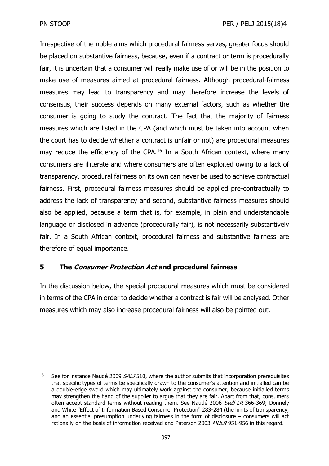-

Irrespective of the noble aims which procedural fairness serves, greater focus should be placed on substantive fairness, because, even if a contract or term is procedurally fair, it is uncertain that a consumer will really make use of or will be in the position to make use of measures aimed at procedural fairness. Although procedural-fairness measures may lead to transparency and may therefore increase the levels of consensus, their success depends on many external factors, such as whether the consumer is going to study the contract. The fact that the majority of fairness measures which are listed in the CPA (and which must be taken into account when the court has to decide whether a contract is unfair or not) are procedural measures may reduce the efficiency of the CPA.<sup>16</sup> In a South African context, where many consumers are illiterate and where consumers are often exploited owing to a lack of transparency, procedural fairness on its own can never be used to achieve contractual fairness. First, procedural fairness measures should be applied pre-contractually to address the lack of transparency and second, substantive fairness measures should also be applied, because a term that is, for example, in plain and understandable language or disclosed in advance (procedurally fair), is not necessarily substantively fair. In a South African context, procedural fairness and substantive fairness are therefore of equal importance.

# **5 The Consumer Protection Act and procedural fairness**

In the discussion below, the special procedural measures which must be considered in terms of the CPA in order to decide whether a contract is fair will be analysed. Other measures which may also increase procedural fairness will also be pointed out.

<sup>&</sup>lt;sup>16</sup> See for instance Naudé 2009  $SALJ$  510, where the author submits that incorporation prerequisites that specific types of terms be specifically drawn to the consumer's attention and initialled can be a double-edge sword which may ultimately work against the consumer, because initialled terms may strengthen the hand of the supplier to argue that they are fair. Apart from that, consumers often accept standard terms without reading them. See Naudé 2006 Stell LR 366-369; Donnely and White "Effect of Information Based Consumer Protection" 283-284 (the limits of transparency, and an essential presumption underlying fairness in the form of disclosure – consumers will act rationally on the basis of information received and Paterson 2003 MULR 951-956 in this regard.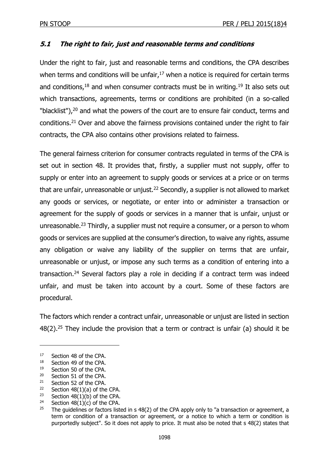# **5.1 The right to fair, just and reasonable terms and conditions**

Under the right to fair, just and reasonable terms and conditions, the CPA describes when terms and conditions will be unfair,  $17$  when a notice is required for certain terms and conditions, $18$  and when consumer contracts must be in writing.  $19$  It also sets out which transactions, agreements, terms or conditions are prohibited (in a so-called "blacklist"), $20$  and what the powers of the court are to ensure fair conduct, terms and conditions.<sup>21</sup> Over and above the fairness provisions contained under the right to fair contracts, the CPA also contains other provisions related to fairness.

The general fairness criterion for consumer contracts regulated in terms of the CPA is set out in section 48. It provides that, firstly, a supplier must not supply, offer to supply or enter into an agreement to supply goods or services at a price or on terms that are unfair, unreasonable or unjust.<sup>22</sup> Secondly, a supplier is not allowed to market any goods or services, or negotiate, or enter into or administer a transaction or agreement for the supply of goods or services in a manner that is unfair, unjust or unreasonable.<sup>23</sup> Thirdly, a supplier must not require a consumer, or a person to whom goods or services are supplied at the consumer's direction, to waive any rights, assume any obligation or waive any liability of the supplier on terms that are unfair, unreasonable or unjust, or impose any such terms as a condition of entering into a transaction.<sup>24</sup> Several factors play a role in deciding if a contract term was indeed unfair, and must be taken into account by a court. Some of these factors are procedural.

The factors which render a contract unfair, unreasonable or unjust are listed in section  $48(2).^{25}$  They include the provision that a term or contract is unfair (a) should it be

- <sup>22</sup> Section 48(1)(a) of the CPA.
- <sup>23</sup> Section 48(1)(b) of the CPA.<br><sup>24</sup> Section 48(1)(c) of the CPA
- <sup>24</sup> Section 48(1)(c) of the CPA.<br><sup>25</sup> The quidelines or factors list.

<sup>17</sup> Section 48 of the CPA.

<sup>&</sup>lt;sup>18</sup> Section 49 of the CPA.

<sup>19</sup> Section 50 of the CPA.

<sup>20</sup> Section 51 of the CPA.

<sup>21</sup> Section 52 of the CPA.

The quidelines or factors listed in s 48(2) of the CPA apply only to "a transaction or agreement, a term or condition of a transaction or agreement, or a notice to which a term or condition is purportedly subject". So it does not apply to price. It must also be noted that s 48(2) states that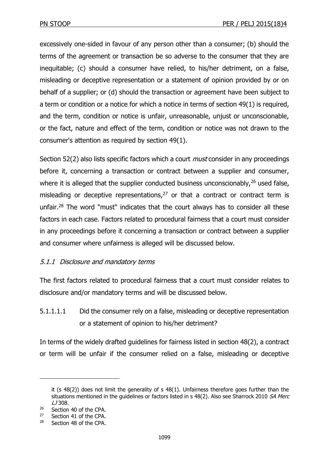excessively one-sided in favour of any person other than a consumer; (b) should the terms of the agreement or transaction be so adverse to the consumer that they are inequitable; (c) should a consumer have relied, to his/her detriment, on a false, misleading or deceptive representation or a statement of opinion provided by or on behalf of a supplier; or (d) should the transaction or agreement have been subject to a term or condition or a notice for which a notice in terms of section 49(1) is required, and the term, condition or notice is unfair, unreasonable, unjust or unconscionable, or the fact, nature and effect of the term, condition or notice was not drawn to the consumer's attention as required by section 49(1).

Section 52(2) also lists specific factors which a court *must* consider in any proceedings before it, concerning a transaction or contract between a supplier and consumer, where it is alleged that the supplier conducted business unconscionably,  $26$  used false, misleading or deceptive representations, $27$  or that a contract or contract term is unfair.<sup>28</sup> The word "must" indicates that the court always has to consider all these factors in each case. Factors related to procedural fairness that a court must consider in any proceedings before it concerning a transaction or contract between a supplier and consumer where unfairness is alleged will be discussed below.

# 5.1.1 Disclosure and mandatory terms

The first factors related to procedural fairness that a court must consider relates to disclosure and/or mandatory terms and will be discussed below.

5.1.1.1.1 Did the consumer rely on a false, misleading or deceptive representation or a statement of opinion to his/her detriment?

In terms of the widely drafted guidelines for fairness listed in section 48(2), a contract or term will be unfair if the consumer relied on a false, misleading or deceptive

it  $(s 48(2))$  does not limit the generality of s  $48(1)$ . Unfairness therefore goes further than the situations mentioned in the guidelines or factors listed in s 48(2). Also see Sharrock 2010 SA Merc LJ 308.

<sup>26</sup> Section 40 of the CPA.

<sup>27</sup> Section 41 of the CPA.

<sup>28</sup> Section 48 of the CPA.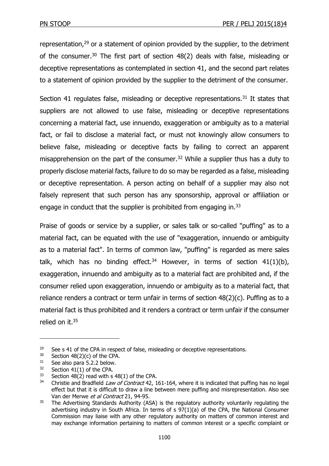representation,<sup>29</sup> or a statement of opinion provided by the supplier, to the detriment of the consumer.<sup>30</sup> The first part of section 48(2) deals with false, misleading or deceptive representations as contemplated in section 41, and the second part relates to a statement of opinion provided by the supplier to the detriment of the consumer.

Section 41 regulates false, misleading or deceptive representations.<sup>31</sup> It states that suppliers are not allowed to use false, misleading or deceptive representations concerning a material fact, use innuendo, exaggeration or ambiguity as to a material fact, or fail to disclose a material fact, or must not knowingly allow consumers to believe false, misleading or deceptive facts by failing to correct an apparent misapprehension on the part of the consumer.<sup>32</sup> While a supplier thus has a duty to properly disclose material facts, failure to do so may be regarded as a false, misleading or deceptive representation. A person acting on behalf of a supplier may also not falsely represent that such person has any sponsorship, approval or affiliation or engage in conduct that the supplier is prohibited from engaging in.<sup>33</sup>

Praise of goods or service by a supplier, or sales talk or so-called "puffing" as to a material fact, can be equated with the use of "exaggeration, innuendo or ambiguity as to a material fact". In terms of common law, "puffing" is regarded as mere sales talk, which has no binding effect.<sup>34</sup> However, in terms of section  $41(1)(b)$ , exaggeration, innuendo and ambiguity as to a material fact are prohibited and, if the consumer relied upon exaggeration, innuendo or ambiguity as to a material fact, that reliance renders a contract or term unfair in terms of section  $48(2)(c)$ . Puffing as to a material fact is thus prohibited and it renders a contract or term unfair if the consumer relied on it.<sup>35</sup>

 $29$  See s 41 of the CPA in respect of false, misleading or deceptive representations.

 $30$  Section 48(2)(c) of the CPA.

 $31$  See also para 5.2.2 below.<br> $32$  Section 41(1) of the CDA

Section  $41(1)$  of the CPA.

 $33$  Section 48(2) read with s 48(1) of the CPA.

 $34$  Christie and Bradfield Law of Contract 42, 161-164, where it is indicated that puffing has no legal effect but that it is difficult to draw a line between mere puffing and misrepresentation. Also see Van der Merwe et al Contract 21, 94-95.

 $35$  The Advertising Standards Authority (ASA) is the regulatory authority voluntarily regulating the advertising industry in South Africa. In terms of s 97(1)(a) of the CPA, the National Consumer Commission may liaise with any other regulatory authority on matters of common interest and may exchange information pertaining to matters of common interest or a specific complaint or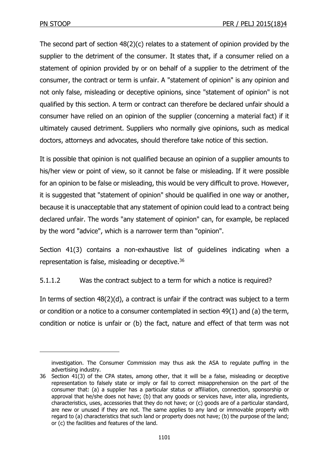-

The second part of section 48(2)(c) relates to a statement of opinion provided by the supplier to the detriment of the consumer. It states that, if a consumer relied on a statement of opinion provided by or on behalf of a supplier to the detriment of the consumer, the contract or term is unfair. A "statement of opinion" is any opinion and not only false, misleading or deceptive opinions, since "statement of opinion" is not qualified by this section. A term or contract can therefore be declared unfair should a consumer have relied on an opinion of the supplier (concerning a material fact) if it ultimately caused detriment. Suppliers who normally give opinions, such as medical doctors, attorneys and advocates, should therefore take notice of this section.

It is possible that opinion is not qualified because an opinion of a supplier amounts to his/her view or point of view, so it cannot be false or misleading. If it were possible for an opinion to be false or misleading, this would be very difficult to prove. However, it is suggested that "statement of opinion" should be qualified in one way or another, because it is unacceptable that any statement of opinion could lead to a contract being declared unfair. The words "any statement of opinion" can, for example, be replaced by the word "advice", which is a narrower term than "opinion".

Section 41(3) contains a non-exhaustive list of guidelines indicating when a representation is false, misleading or deceptive.<sup>36</sup>

# 5.1.1.2 Was the contract subject to a term for which a notice is required?

In terms of section 48(2)(d), a contract is unfair if the contract was subject to a term or condition or a notice to a consumer contemplated in section 49(1) and (a) the term, condition or notice is unfair or (b) the fact, nature and effect of that term was not

investigation. The Consumer Commission may thus ask the ASA to regulate puffing in the advertising industry.

<sup>36</sup> Section 41(3) of the CPA states, among other, that it will be a false, misleading or deceptive representation to falsely state or imply or fail to correct misapprehension on the part of the consumer that: (a) a supplier has a particular status or affiliation, connection, sponsorship or approval that he/she does not have; (b) that any goods or services have, inter alia, ingredients, characteristics, uses, accessories that they do not have; or (c) goods are of a particular standard, are new or unused if they are not. The same applies to any land or immovable property with regard to (a) characteristics that such land or property does not have; (b) the purpose of the land; or (c) the facilities and features of the land.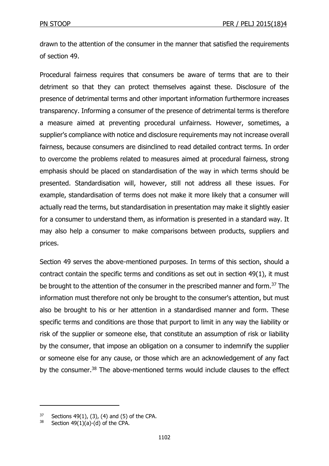drawn to the attention of the consumer in the manner that satisfied the requirements of section 49.

Procedural fairness requires that consumers be aware of terms that are to their detriment so that they can protect themselves against these. Disclosure of the presence of detrimental terms and other important information furthermore increases transparency. Informing a consumer of the presence of detrimental terms is therefore a measure aimed at preventing procedural unfairness. However, sometimes, a supplier's compliance with notice and disclosure requirements may not increase overall fairness, because consumers are disinclined to read detailed contract terms. In order to overcome the problems related to measures aimed at procedural fairness, strong emphasis should be placed on standardisation of the way in which terms should be presented. Standardisation will, however, still not address all these issues. For example, standardisation of terms does not make it more likely that a consumer will actually read the terms, but standardisation in presentation may make it slightly easier for a consumer to understand them, as information is presented in a standard way. It may also help a consumer to make comparisons between products, suppliers and prices.

Section 49 serves the above-mentioned purposes. In terms of this section, should a contract contain the specific terms and conditions as set out in section 49(1), it must be brought to the attention of the consumer in the prescribed manner and form.<sup>37</sup> The information must therefore not only be brought to the consumer's attention, but must also be brought to his or her attention in a standardised manner and form. These specific terms and conditions are those that purport to limit in any way the liability or risk of the supplier or someone else, that constitute an assumption of risk or liability by the consumer, that impose an obligation on a consumer to indemnify the supplier or someone else for any cause, or those which are an acknowledgement of any fact by the consumer.<sup>38</sup> The above-mentioned terms would include clauses to the effect

 $37$  Sections 49(1), (3), (4) and (5) of the CPA.

 $38$  Section 49(1)(a)-(d) of the CPA.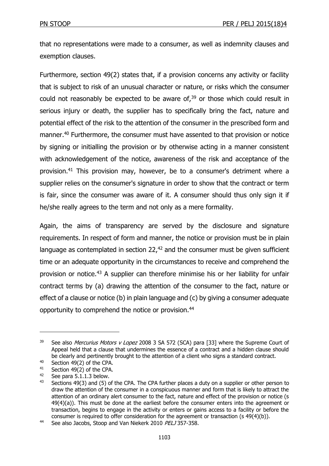that no representations were made to a consumer, as well as indemnity clauses and exemption clauses.

Furthermore, section 49(2) states that, if a provision concerns any activity or facility that is subject to risk of an unusual character or nature, or risks which the consumer could not reasonably be expected to be aware of, $39$  or those which could result in serious injury or death, the supplier has to specifically bring the fact, nature and potential effect of the risk to the attention of the consumer in the prescribed form and manner.<sup>40</sup> Furthermore, the consumer must have assented to that provision or notice by signing or initialling the provision or by otherwise acting in a manner consistent with acknowledgement of the notice, awareness of the risk and acceptance of the provision.<sup>41</sup> This provision may, however, be to a consumer's detriment where a supplier relies on the consumer's signature in order to show that the contract or term is fair, since the consumer was aware of it. A consumer should thus only sign it if he/she really agrees to the term and not only as a mere formality.

Again, the aims of transparency are served by the disclosure and signature requirements. In respect of form and manner, the notice or provision must be in plain language as contemplated in section  $22<sub>1</sub><sup>42</sup>$  and the consumer must be given sufficient time or an adequate opportunity in the circumstances to receive and comprehend the provision or notice.<sup>43</sup> A supplier can therefore minimise his or her liability for unfair contract terms by (a) drawing the attention of the consumer to the fact, nature or effect of a clause or notice (b) in plain language and (c) by giving a consumer adequate opportunity to comprehend the notice or provision.<sup>44</sup>

<sup>&</sup>lt;sup>39</sup> See also *Mercurius Motors v Lopez* 2008 3 SA 572 (SCA) para [33] where the Supreme Court of Appeal held that a clause that undermines the essence of a contract and a hidden clause should be clearly and pertinently brought to the attention of a client who signs a standard contract.

<sup>40</sup> Section 49(2) of the CPA.<br>41 Section 49(2) of the CPA

Section 49(2) of the CPA.

<sup>42</sup> See para 5.1.1.3 below.

<sup>43</sup> Sections 49(3) and (5) of the CPA. The CPA further places a duty on a supplier or other person to draw the attention of the consumer in a conspicuous manner and form that is likely to attract the attention of an ordinary alert consumer to the fact, nature and effect of the provision or notice (s 49(4)(a)). This must be done at the earliest before the consumer enters into the agreement or transaction, begins to engage in the activity or enters or gains access to a facility or before the consumer is required to offer consideration for the agreement or transaction (s 49(4)(b)).

<sup>44</sup> See also Jacobs, Stoop and Van Niekerk 2010 PELJ 357-358.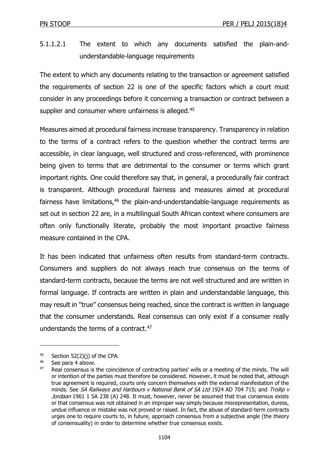5.1.1.2.1 The extent to which any documents satisfied the plain-andunderstandable-language requirements

The extent to which any documents relating to the transaction or agreement satisfied the requirements of section 22 is one of the specific factors which a court must consider in any proceedings before it concerning a transaction or contract between a supplier and consumer where unfairness is alleged.<sup>45</sup>

Measures aimed at procedural fairness increase transparency. Transparency in relation to the terms of a contract refers to the question whether the contract terms are accessible, in clear language, well structured and cross-referenced, with prominence being given to terms that are detrimental to the consumer or terms which grant important rights. One could therefore say that, in general, a procedurally fair contract is transparent. Although procedural fairness and measures aimed at procedural fairness have limitations, $46$  the plain-and-understandable-language requirements as set out in section 22 are, in a multilingual South African context where consumers are often only functionally literate, probably the most important proactive fairness measure contained in the CPA.

It has been indicated that unfairness often results from standard-term contracts. Consumers and suppliers do not always reach true consensus on the terms of standard-term contracts, because the terms are not well structured and are written in formal language. If contracts are written in plain and understandable language, this may result in "true" consensus being reached, since the contract is written in language that the consumer understands. Real consensus can only exist if a consumer really understands the terms of a contract.<sup>47</sup>

 $45$  Section 52(2)(j) of the CPA.

 $^{46}$  See para 4 above.

Real consensus is the coincidence of contracting parties' wills or a meeting of the minds. The will or intention of the parties must therefore be considered. However, it must be noted that, although true agreement is required, courts only concern themselves with the external manifestation of the minds. See SA Railways and Harbours v National Bank of SA Ltd 1924 AD 704 715; and Trollip v Jordaan 1961 1 SA 238 (A) 248. It must, however, never be assumed that true consensus exists or that consensus was not obtained in an improper way simply because misrepresentation, duress, undue influence or mistake was not proved or raised. In fact, the abuse of standard-term contracts urges one to require courts to, in future, approach consensus from a subjective angle (the theory of consensuality) in order to determine whether true consensus exists.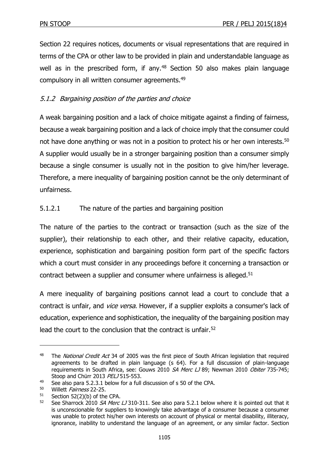Section 22 requires notices, documents or visual representations that are required in terms of the CPA or other law to be provided in plain and understandable language as well as in the prescribed form, if any.<sup>48</sup> Section 50 also makes plain language compulsory in all written consumer agreements.<sup>49</sup>

# 5.1.2 Bargaining position of the parties and choice

A weak bargaining position and a lack of choice mitigate against a finding of fairness, because a weak bargaining position and a lack of choice imply that the consumer could not have done anything or was not in a position to protect his or her own interests.<sup>50</sup> A supplier would usually be in a stronger bargaining position than a consumer simply because a single consumer is usually not in the position to give him/her leverage. Therefore, a mere inequality of bargaining position cannot be the only determinant of unfairness.

# 5.1.2.1 The nature of the parties and bargaining position

The nature of the parties to the contract or transaction (such as the size of the supplier), their relationship to each other, and their relative capacity, education, experience, sophistication and bargaining position form part of the specific factors which a court must consider in any proceedings before it concerning a transaction or contract between a supplier and consumer where unfairness is alleged.<sup>51</sup>

A mere inequality of bargaining positions cannot lead a court to conclude that a contract is unfair, and *vice versa*. However, if a supplier exploits a consumer's lack of education, experience and sophistication, the inequality of the bargaining position may lead the court to the conclusion that the contract is unfair.<sup>52</sup>

<sup>&</sup>lt;sup>48</sup> The *National Credit Act* 34 of 2005 was the first piece of South African legislation that required agreements to be drafted in plain language (s 64). For a full discussion of plain-language requirements in South Africa, see: Gouws 2010 SA Merc LJ 89; Newman 2010 Obiter 735-745; Stoop and Chürr 2013 PELJ 515-553.

<sup>&</sup>lt;sup>49</sup> See also para 5.2.3.1 below for a full discussion of s 50 of the CPA.

<sup>50</sup> Willett Fairness 22-25.

<sup>&</sup>lt;sup>51</sup> Section 52(2)(b) of the CPA.<br><sup>52</sup> See Sharrock 2010 SA Merc

See Sharrock 2010 SA Merc LJ 310-311. See also para 5.2.1 below where it is pointed out that it is unconscionable for suppliers to knowingly take advantage of a consumer because a consumer was unable to protect his/her own interests on account of physical or mental disability, illiteracy, ignorance, inability to understand the language of an agreement, or any similar factor. Section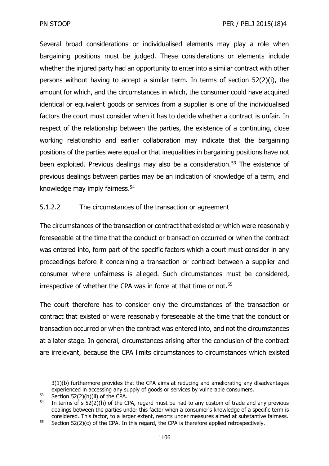Several broad considerations or individualised elements may play a role when bargaining positions must be judged. These considerations or elements include whether the injured party had an opportunity to enter into a similar contract with other persons without having to accept a similar term. In terms of section 52(2)(i), the amount for which, and the circumstances in which, the consumer could have acquired identical or equivalent goods or services from a supplier is one of the individualised factors the court must consider when it has to decide whether a contract is unfair. In respect of the relationship between the parties, the existence of a continuing, close working relationship and earlier collaboration may indicate that the bargaining positions of the parties were equal or that inequalities in bargaining positions have not been exploited. Previous dealings may also be a consideration.<sup>53</sup> The existence of previous dealings between parties may be an indication of knowledge of a term, and knowledge may imply fairness.<sup>54</sup>

# 5.1.2.2 The circumstances of the transaction or agreement

The circumstances of the transaction or contract that existed or which were reasonably foreseeable at the time that the conduct or transaction occurred or when the contract was entered into, form part of the specific factors which a court must consider in any proceedings before it concerning a transaction or contract between a supplier and consumer where unfairness is alleged. Such circumstances must be considered, irrespective of whether the CPA was in force at that time or not.<sup>55</sup>

The court therefore has to consider only the circumstances of the transaction or contract that existed or were reasonably foreseeable at the time that the conduct or transaction occurred or when the contract was entered into, and not the circumstances at a later stage. In general, circumstances arising after the conclusion of the contract are irrelevant, because the CPA limits circumstances to circumstances which existed

<sup>3(1)(</sup>b) furthermore provides that the CPA aims at reducing and ameliorating any disadvantages experienced in accessing any supply of goods or services by vulnerable consumers.

<sup>53</sup> Section 52(2)(h)(ii) of the CPA.<br>54 In terms of  $52(2)(h)$  of the C

In terms of  $\frac{1}{2}(2)(h)$  of the CPA, regard must be had to any custom of trade and any previous dealings between the parties under this factor when a consumer's knowledge of a specific term is considered. This factor, to a larger extent, resorts under measures aimed at substantive fairness.

 $55$  Section 52(2)(c) of the CPA. In this regard, the CPA is therefore applied retrospectively.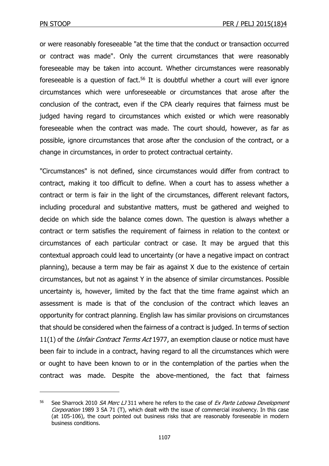-

or were reasonably foreseeable "at the time that the conduct or transaction occurred or contract was made". Only the current circumstances that were reasonably foreseeable may be taken into account. Whether circumstances were reasonably fore seeable is a question of fact.<sup>56</sup> It is doubtful whether a court will ever ignore circumstances which were unforeseeable or circumstances that arose after the conclusion of the contract, even if the CPA clearly requires that fairness must be judged having regard to circumstances which existed or which were reasonably foreseeable when the contract was made. The court should, however, as far as possible, ignore circumstances that arose after the conclusion of the contract, or a change in circumstances, in order to protect contractual certainty.

"Circumstances" is not defined, since circumstances would differ from contract to contract, making it too difficult to define. When a court has to assess whether a contract or term is fair in the light of the circumstances, different relevant factors, including procedural and substantive matters, must be gathered and weighed to decide on which side the balance comes down. The question is always whether a contract or term satisfies the requirement of fairness in relation to the context or circumstances of each particular contract or case. It may be argued that this contextual approach could lead to uncertainty (or have a negative impact on contract planning), because a term may be fair as against X due to the existence of certain circumstances, but not as against Y in the absence of similar circumstances. Possible uncertainty is, however, limited by the fact that the time frame against which an assessment is made is that of the conclusion of the contract which leaves an opportunity for contract planning. English law has similar provisions on circumstances that should be considered when the fairness of a contract is judged. In terms of section 11(1) of the Unfair Contract Terms Act 1977, an exemption clause or notice must have been fair to include in a contract, having regard to all the circumstances which were or ought to have been known to or in the contemplation of the parties when the contract was made. Despite the above-mentioned, the fact that fairness

<sup>&</sup>lt;sup>56</sup> See Sharrock 2010 SA Merc LJ 311 where he refers to the case of Ex Parte Lebowa Development Corporation 1989 3 SA 71 (T), which dealt with the issue of commercial insolvency. In this case (at 105-106), the court pointed out business risks that are reasonably foreseeable in modern business conditions.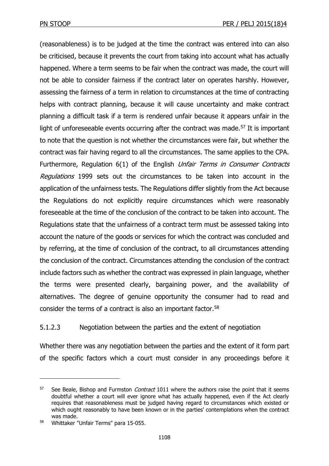(reasonableness) is to be judged at the time the contract was entered into can also be criticised, because it prevents the court from taking into account what has actually happened. Where a term seems to be fair when the contract was made, the court will not be able to consider fairness if the contract later on operates harshly. However, assessing the fairness of a term in relation to circumstances at the time of contracting helps with contract planning, because it will cause uncertainty and make contract planning a difficult task if a term is rendered unfair because it appears unfair in the light of unforeseeable events occurring after the contract was made.<sup>57</sup> It is important to note that the question is not whether the circumstances were fair, but whether the contract was fair having regard to all the circumstances. The same applies to the CPA. Furthermore, Regulation 6(1) of the English Unfair Terms in Consumer Contracts Regulations 1999 sets out the circumstances to be taken into account in the application of the unfairness tests. The Regulations differ slightly from the Act because the Regulations do not explicitly require circumstances which were reasonably foreseeable at the time of the conclusion of the contract to be taken into account. The Regulations state that the unfairness of a contract term must be assessed taking into account the nature of the goods or services for which the contract was concluded and by referring, at the time of conclusion of the contract, to all circumstances attending the conclusion of the contract. Circumstances attending the conclusion of the contract include factors such as whether the contract was expressed in plain language, whether the terms were presented clearly, bargaining power, and the availability of alternatives. The degree of genuine opportunity the consumer had to read and consider the terms of a contract is also an important factor.<sup>58</sup>

# 5.1.2.3 Negotiation between the parties and the extent of negotiation

Whether there was any negotiation between the parties and the extent of it form part of the specific factors which a court must consider in any proceedings before it

<sup>57</sup> See Beale, Bishop and Furmston *Contract* 1011 where the authors raise the point that it seems doubtful whether a court will ever ignore what has actually happened, even if the Act clearly requires that reasonableness must be judged having regard to circumstances which existed or which ought reasonably to have been known or in the parties' contemplations when the contract was made.

<sup>58</sup> Whittaker "Unfair Terms" para 15-055.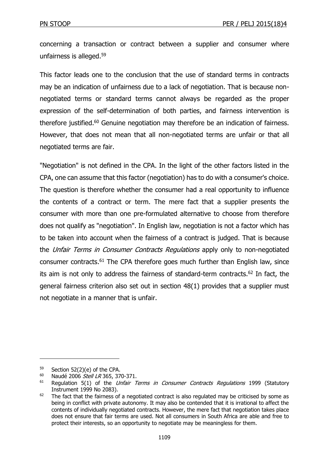concerning a transaction or contract between a supplier and consumer where unfairness is alleged.<sup>59</sup>

This factor leads one to the conclusion that the use of standard terms in contracts may be an indication of unfairness due to a lack of negotiation. That is because nonnegotiated terms or standard terms cannot always be regarded as the proper expression of the self-determination of both parties, and fairness intervention is therefore justified.<sup>60</sup> Genuine negotiation may therefore be an indication of fairness. However, that does not mean that all non-negotiated terms are unfair or that all negotiated terms are fair.

"Negotiation" is not defined in the CPA. In the light of the other factors listed in the CPA, one can assume that this factor (negotiation) has to do with a consumer's choice. The question is therefore whether the consumer had a real opportunity to influence the contents of a contract or term. The mere fact that a supplier presents the consumer with more than one pre-formulated alternative to choose from therefore does not qualify as "negotiation". In English law, negotiation is not a factor which has to be taken into account when the fairness of a contract is judged. That is because the Unfair Terms in Consumer Contracts Regulations apply only to non-negotiated consumer contracts.<sup>61</sup> The CPA therefore goes much further than English law, since its aim is not only to address the fairness of standard-term contracts.<sup>62</sup> In fact, the general fairness criterion also set out in section 48(1) provides that a supplier must not negotiate in a manner that is unfair.

<sup>59</sup> Section 52(2)(e) of the CPA.

<sup>60</sup> Naudé 2006 Stell LR 365, 370-371.

 $61$  Regulation 5(1) of the Unfair Terms in Consumer Contracts Regulations 1999 (Statutory Instrument 1999 No 2083).

 $62$  The fact that the fairness of a negotiated contract is also regulated may be criticised by some as being in conflict with private autonomy. It may also be contended that it is irrational to affect the contents of individually negotiated contracts. However, the mere fact that negotiation takes place does not ensure that fair terms are used. Not all consumers in South Africa are able and free to protect their interests, so an opportunity to negotiate may be meaningless for them.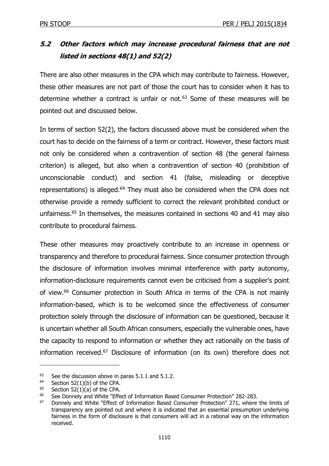# **5.2 Other factors which may increase procedural fairness that are not listed in sections 48(1) and 52(2)**

There are also other measures in the CPA which may contribute to fairness. However, these other measures are not part of those the court has to consider when it has to determine whether a contract is unfair or not. $63$  Some of these measures will be pointed out and discussed below.

In terms of section 52(2), the factors discussed above must be considered when the court has to decide on the fairness of a term or contract. However, these factors must not only be considered when a contravention of section 48 (the general fairness criterion) is alleged, but also when a contravention of section 40 (prohibition of unconscionable conduct) and section 41 (false, misleading or deceptive representations) is alleged.<sup>64</sup> They must also be considered when the CPA does not otherwise provide a remedy sufficient to correct the relevant prohibited conduct or unfairness.<sup>65</sup> In themselves, the measures contained in sections 40 and 41 may also contribute to procedural fairness.

These other measures may proactively contribute to an increase in openness or transparency and therefore to procedural fairness. Since consumer protection through the disclosure of information involves minimal interference with party autonomy, information-disclosure requirements cannot even be criticised from a supplier's point of view.<sup>66</sup> Consumer protection in South Africa in terms of the CPA is not mainly information-based, which is to be welcomed since the effectiveness of consumer protection solely through the disclosure of information can be questioned, because it is uncertain whether all South African consumers, especially the vulnerable ones, have the capacity to respond to information or whether they act rationally on the basis of information received.<sup>67</sup> Disclosure of information (on its own) therefore does not

<sup>&</sup>lt;sup>63</sup> See the discussion above in paras 5.1.1 and 5.1.2.

 $64$  Section 52(1)(b) of the CPA.

 $65$  Section 52(1)(a) of the CPA.

<sup>&</sup>lt;sup>66</sup> See Donnely and White "Effect of Information Based Consumer Protection" 282-283.<br><sup>67</sup> Donnely and White "Effect of Information Based Consumer Protection" 271, where

<sup>67</sup> Donnely and White "Effect of Information Based Consumer Protection" 271, where the limits of transparency are pointed out and where it is indicated that an essential presumption underlying fairness in the form of disclosure is that consumers will act in a rational way on the information received.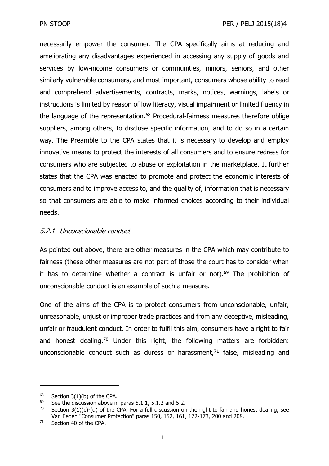necessarily empower the consumer. The CPA specifically aims at reducing and ameliorating any disadvantages experienced in accessing any supply of goods and services by low-income consumers or communities, minors, seniors, and other similarly vulnerable consumers, and most important, consumers whose ability to read and comprehend advertisements, contracts, marks, notices, warnings, labels or instructions is limited by reason of low literacy, visual impairment or limited fluency in the language of the representation.<sup>68</sup> Procedural-fairness measures therefore oblige suppliers, among others, to disclose specific information, and to do so in a certain way. The Preamble to the CPA states that it is necessary to develop and employ innovative means to protect the interests of all consumers and to ensure redress for consumers who are subjected to abuse or exploitation in the marketplace. It further states that the CPA was enacted to promote and protect the economic interests of consumers and to improve access to, and the quality of, information that is necessary so that consumers are able to make informed choices according to their individual needs.

## 5.2.1 Unconscionable conduct

As pointed out above, there are other measures in the CPA which may contribute to fairness (these other measures are not part of those the court has to consider when it has to determine whether a contract is unfair or not).<sup>69</sup> The prohibition of unconscionable conduct is an example of such a measure.

One of the aims of the CPA is to protect consumers from unconscionable, unfair, unreasonable, unjust or improper trade practices and from any deceptive, misleading, unfair or fraudulent conduct. In order to fulfil this aim, consumers have a right to fair and honest dealing.<sup>70</sup> Under this right, the following matters are forbidden: unconscionable conduct such as duress or harassment, $71$  false, misleading and

<sup>&</sup>lt;sup>68</sup> Section  $3(1)(b)$  of the CPA.<br><sup>69</sup> See the discussion above in

<sup>69</sup> See the discussion above in paras 5.1.1, 5.1.2 and 5.2.<br> $\frac{70}{2}$  Section 3(1)(c)-(d) of the CBA For a full discussion on

Section  $3(1)(c)-(d)$  of the CPA. For a full discussion on the right to fair and honest dealing, see Van Eeden "Consumer Protection" paras 150, 152, 161, 172-173, 200 and 208.

 $71$  Section 40 of the CPA.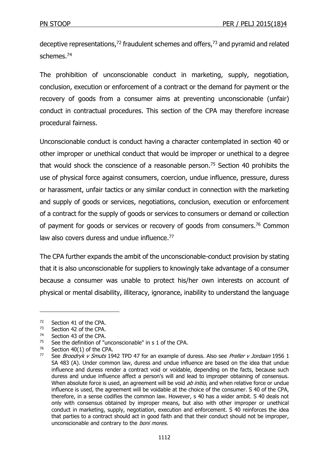deceptive representations,<sup>72</sup> fraudulent schemes and offers,<sup>73</sup> and pyramid and related schemes.<sup>74</sup>

The prohibition of unconscionable conduct in marketing, supply, negotiation, conclusion, execution or enforcement of a contract or the demand for payment or the recovery of goods from a consumer aims at preventing unconscionable (unfair) conduct in contractual procedures. This section of the CPA may therefore increase procedural fairness.

Unconscionable conduct is conduct having a character contemplated in section 40 or other improper or unethical conduct that would be improper or unethical to a degree that would shock the conscience of a reasonable person.<sup>75</sup> Section 40 prohibits the use of physical force against consumers, coercion, undue influence, pressure, duress or harassment, unfair tactics or any similar conduct in connection with the marketing and supply of goods or services, negotiations, conclusion, execution or enforcement of a contract for the supply of goods or services to consumers or demand or collection of payment for goods or services or recovery of goods from consumers.<sup>76</sup> Common law also covers duress and undue influence.<sup>77</sup>

The CPA further expands the ambit of the unconscionable-conduct provision by stating that it is also unconscionable for suppliers to knowingly take advantage of a consumer because a consumer was unable to protect his/her own interests on account of physical or mental disability, illiteracy, ignorance, inability to understand the language

<sup>72</sup> Section 41 of the CPA.

 $^{73}$  Section 42 of the CPA.<br> $^{74}$  Section 43 of the CPA

<sup>&</sup>lt;sup>74</sup> Section 43 of the CPA.<br><sup>75</sup> See the definition of "u

<sup>&</sup>lt;sup>75</sup> See the definition of "unconscionable" in s 1 of the CPA.<br><sup>76</sup> Section 40(1) of the CPA

Section  $40(1)$  of the CPA.

<sup>&</sup>lt;sup>77</sup> See *Broodryk v Smuts* 1942 TPD 47 for an example of duress. Also see *Preller v Jordaan* 1956 1 SA 483 (A). Under common law, duress and undue influence are based on the idea that undue influence and duress render a contract void or voidable, depending on the facts, because such duress and undue influence affect a person's will and lead to improper obtaining of consensus. When absolute force is used, an agreement will be void ab initio, and when relative force or undue influence is used, the agreement will be voidable at the choice of the consumer. S 40 of the CPA, therefore, in a sense codifies the common law. However, s 40 has a wider ambit. S 40 deals not only with consensus obtained by improper means, but also with other improper or unethical conduct in marketing, supply, negotiation, execution and enforcement. S 40 reinforces the idea that parties to a contract should act in good faith and that their conduct should not be improper, unconscionable and contrary to the boni mores.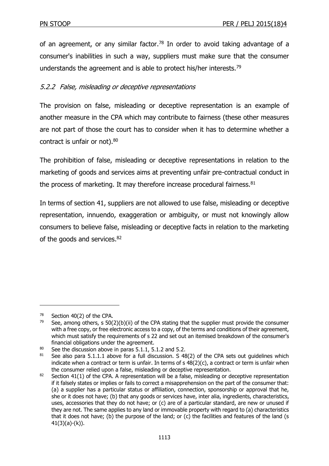of an agreement, or any similar factor.<sup>78</sup> In order to avoid taking advantage of a consumer's inabilities in such a way, suppliers must make sure that the consumer understands the agreement and is able to protect his/her interests.<sup>79</sup>

# 5.2.2 False, misleading or deceptive representations

The provision on false, misleading or deceptive representation is an example of another measure in the CPA which may contribute to fairness (these other measures are not part of those the court has to consider when it has to determine whether a contract is unfair or not).<sup>80</sup>

The prohibition of false, misleading or deceptive representations in relation to the marketing of goods and services aims at preventing unfair pre-contractual conduct in the process of marketing. It may therefore increase procedural fairness. $81$ 

In terms of section 41, suppliers are not allowed to use false, misleading or deceptive representation, innuendo, exaggeration or ambiguity, or must not knowingly allow consumers to believe false, misleading or deceptive facts in relation to the marketing of the goods and services.<sup>82</sup>

<sup>78</sup> Section 40(2) of the CPA.

<sup>&</sup>lt;sup>79</sup> See, among others, s 50(2)(b)(ii) of the CPA stating that the supplier must provide the consumer with a free copy, or free electronic access to a copy, of the terms and conditions of their agreement, which must satisfy the requirements of s 22 and set out an itemised breakdown of the consumer's financial obligations under the agreement.

 $80$  See the discussion above in paras 5.1.1, 5.1.2 and 5.2.

 $81$  See also para 5.1.1.1 above for a full discussion. S 48(2) of the CPA sets out guidelines which indicate when a contract or term is unfair. In terms of s 48(2)(c), a contract or term is unfair when the consumer relied upon a false, misleading or deceptive representation.

<sup>82</sup> Section 41(1) of the CPA. A representation will be a false, misleading or deceptive representation if it falsely states or implies or fails to correct a misapprehension on the part of the consumer that: (a) a supplier has a particular status or affiliation, connection, sponsorship or approval that he, she or it does not have; (b) that any goods or services have, inter alia, ingredients, characteristics, uses, accessories that they do not have; or (c) are of a particular standard, are new or unused if they are not. The same applies to any land or immovable property with regard to (a) characteristics that it does not have; (b) the purpose of the land; or (c) the facilities and features of the land (s  $41(3)(a)-(k)$ .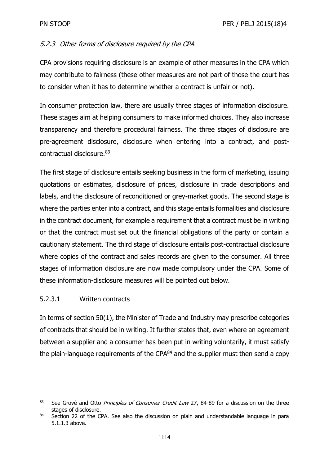# 5.2.3 Other forms of disclosure required by the CPA

CPA provisions requiring disclosure is an example of other measures in the CPA which may contribute to fairness (these other measures are not part of those the court has to consider when it has to determine whether a contract is unfair or not).

In consumer protection law, there are usually three stages of information disclosure. These stages aim at helping consumers to make informed choices. They also increase transparency and therefore procedural fairness. The three stages of disclosure are pre-agreement disclosure, disclosure when entering into a contract, and postcontractual disclosure.<sup>83</sup>

The first stage of disclosure entails seeking business in the form of marketing, issuing quotations or estimates, disclosure of prices, disclosure in trade descriptions and labels, and the disclosure of reconditioned or grey-market goods. The second stage is where the parties enter into a contract, and this stage entails formalities and disclosure in the contract document, for example a requirement that a contract must be in writing or that the contract must set out the financial obligations of the party or contain a cautionary statement. The third stage of disclosure entails post-contractual disclosure where copies of the contract and sales records are given to the consumer. All three stages of information disclosure are now made compulsory under the CPA. Some of these information-disclosure measures will be pointed out below.

### 5.2.3.1 Written contracts

-

In terms of section 50(1), the Minister of Trade and Industry may prescribe categories of contracts that should be in writing. It further states that, even where an agreement between a supplier and a consumer has been put in writing voluntarily, it must satisfy the plain-language requirements of the CPA<sup>84</sup> and the supplier must then send a copy

<sup>&</sup>lt;sup>83</sup> See Grové and Otto *Principles of Consumer Credit Law* 27, 84-89 for a discussion on the three stages of disclosure.

<sup>84</sup> Section 22 of the CPA. See also the discussion on plain and understandable language in para 5.1.1.3 above.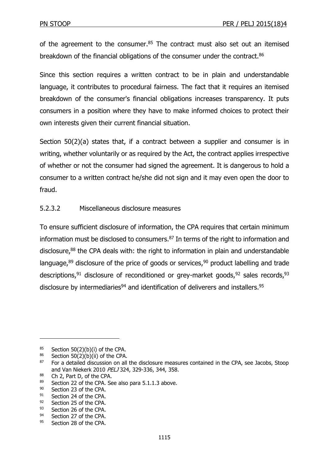of the agreement to the consumer.<sup>85</sup> The contract must also set out an itemised breakdown of the financial obligations of the consumer under the contract.<sup>86</sup>

Since this section requires a written contract to be in plain and understandable language, it contributes to procedural fairness. The fact that it requires an itemised breakdown of the consumer's financial obligations increases transparency. It puts consumers in a position where they have to make informed choices to protect their own interests given their current financial situation.

Section 50(2)(a) states that, if a contract between a supplier and consumer is in writing, whether voluntarily or as required by the Act, the contract applies irrespective of whether or not the consumer had signed the agreement. It is dangerous to hold a consumer to a written contract he/she did not sign and it may even open the door to fraud.

# 5.2.3.2 Miscellaneous disclosure measures

To ensure sufficient disclosure of information, the CPA requires that certain minimum information must be disclosed to consumers. $87$  In terms of the right to information and disclosure,<sup>88</sup> the CPA deals with: the right to information in plain and understandable language, $89$  disclosure of the price of goods or services,  $90$  product labelling and trade descriptions,  $91$  disclosure of reconditioned or grey-market goods,  $92$  sales records,  $93$ disclosure by intermediaries $94$  and identification of deliverers and installers.  $95$ 

 $85$  Section 50(2)(b)(i) of the CPA.

 $86$  Section 50(2)(b)(ii) of the CPA.

<sup>87</sup> For a detailed discussion on all the disclosure measures contained in the CPA, see Jacobs, Stoop and Van Niekerk 2010 PELJ 324, 329-336, 344, 358.

<sup>88</sup> Ch 2, Part D, of the CPA.

<sup>89</sup> Section 22 of the CPA. See also para 5.1.1.3 above.

<sup>90</sup> Section 23 of the CPA.

 $^{91}$  Section 24 of the CPA.<br> $^{92}$  Section 25 of the CPA

 $^{92}$  Section 25 of the CPA.<br> $^{93}$  Section 26 of the CPA

Section 26 of the CPA.

<sup>94</sup> Section 27 of the CPA.

<sup>95</sup> Section 28 of the CPA.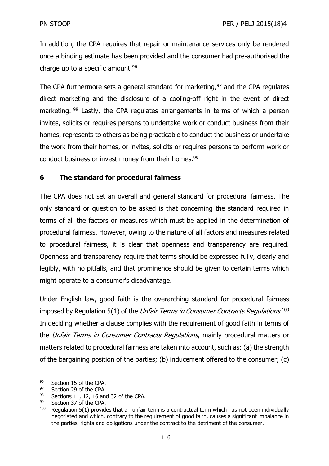In addition, the CPA requires that repair or maintenance services only be rendered once a binding estimate has been provided and the consumer had pre-authorised the charge up to a specific amount.  $96$ 

The CPA furthermore sets a general standard for marketing,  $97$  and the CPA regulates direct marketing and the disclosure of a cooling-off right in the event of direct marketing. <sup>98</sup> Lastly, the CPA regulates arrangements in terms of which a person invites, solicits or requires persons to undertake work or conduct business from their homes, represents to others as being practicable to conduct the business or undertake the work from their homes, or invites, solicits or requires persons to perform work or conduct business or invest money from their homes.<sup>99</sup>

# **6 The standard for procedural fairness**

The CPA does not set an overall and general standard for procedural fairness. The only standard or question to be asked is that concerning the standard required in terms of all the factors or measures which must be applied in the determination of procedural fairness. However, owing to the nature of all factors and measures related to procedural fairness, it is clear that openness and transparency are required. Openness and transparency require that terms should be expressed fully, clearly and legibly, with no pitfalls, and that prominence should be given to certain terms which might operate to a consumer's disadvantage.

Under English law, good faith is the overarching standard for procedural fairness imposed by Regulation 5(1) of the *Unfair Terms in Consumer Contracts Regulations*.<sup>100</sup> In deciding whether a clause complies with the requirement of good faith in terms of the Unfair Terms in Consumer Contracts Regulations, mainly procedural matters or matters related to procedural fairness are taken into account, such as: (a) the strength of the bargaining position of the parties; (b) inducement offered to the consumer; (c)

<sup>96</sup> Section 15 of the CPA.

<sup>97</sup> Section 29 of the CPA.

<sup>98</sup> Sections 11, 12, 16 and 32 of the CPA.<br>99 Section 37 of the CPA

 $^{99}$  Section 37 of the CPA.<br> $^{100}$  Bequistion 5(1) provide

Regulation 5(1) provides that an unfair term is a contractual term which has not been individually negotiated and which, contrary to the requirement of good faith, causes a significant imbalance in the parties' rights and obligations under the contract to the detriment of the consumer.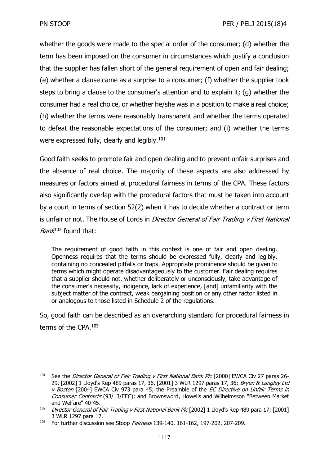-

whether the goods were made to the special order of the consumer; (d) whether the term has been imposed on the consumer in circumstances which justify a conclusion that the supplier has fallen short of the general requirement of open and fair dealing; (e) whether a clause came as a surprise to a consumer; (f) whether the supplier took steps to bring a clause to the consumer's attention and to explain it; (g) whether the consumer had a real choice, or whether he/she was in a position to make a real choice; (h) whether the terms were reasonably transparent and whether the terms operated to defeat the reasonable expectations of the consumer; and (i) whether the terms were expressed fully, clearly and legibly.<sup>101</sup>

Good faith seeks to promote fair and open dealing and to prevent unfair surprises and the absence of real choice. The majority of these aspects are also addressed by measures or factors aimed at procedural fairness in terms of the CPA. These factors also significantly overlap with the procedural factors that must be taken into account by a court in terms of section 52(2) when it has to decide whether a contract or term is unfair or not. The House of Lords in Director General of Fair Trading v First National *Bank*<sup>102</sup> found that:

The requirement of good faith in this context is one of fair and open dealing. Openness requires that the terms should be expressed fully, clearly and legibly, containing no concealed pitfalls or traps. Appropriate prominence should be given to terms which might operate disadvantageously to the customer. Fair dealing requires that a supplier should not, whether deliberately or unconsciously, take advantage of the consumer's necessity, indigence, lack of experience, [and] unfamiliarity with the subject matter of the contract, weak bargaining position or any other factor listed in or analogous to those listed in Schedule 2 of the regulations.

So, good faith can be described as an overarching standard for procedural fairness in terms of the CPA.<sup>103</sup>

<sup>&</sup>lt;sup>101</sup> See the *Director General of Fair Trading v First National Bank Plc* [2000] EWCA Civ 27 paras 26-29, [2002] 1 Lloyd's Rep 489 paras 17, 36, [2001] 3 WLR 1297 paras 17, 36; Bryen & Langley Ltd v Boston [2004] EWCA Civ 973 para 45; the Preamble of the EC Directive on Unfair Terms in Consumer Contracts (93/13/EEC); and Brownsword, Howells and Wilhelmsson "Between Market and Welfare" 40-45.

<sup>&</sup>lt;sup>102</sup> Director General of Fair Trading v First National Bank Plc [2002] 1 Lloyd's Rep 489 para 17; [2001] 3 WLR 1297 para 17.

<sup>&</sup>lt;sup>103</sup> For further discussion see Stoop *Fairness* 139-140, 161-162, 197-202, 207-209.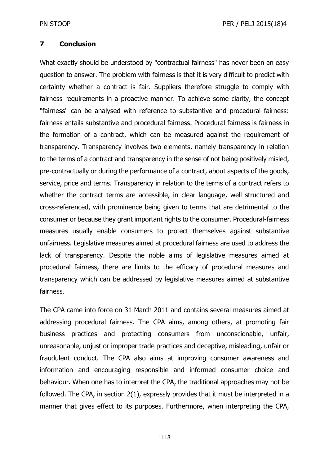### **7 Conclusion**

What exactly should be understood by "contractual fairness" has never been an easy question to answer. The problem with fairness is that it is very difficult to predict with certainty whether a contract is fair. Suppliers therefore struggle to comply with fairness requirements in a proactive manner. To achieve some clarity, the concept "fairness" can be analysed with reference to substantive and procedural fairness: fairness entails substantive and procedural fairness. Procedural fairness is fairness in the formation of a contract, which can be measured against the requirement of transparency. Transparency involves two elements, namely transparency in relation to the terms of a contract and transparency in the sense of not being positively misled, pre-contractually or during the performance of a contract, about aspects of the goods, service, price and terms. Transparency in relation to the terms of a contract refers to whether the contract terms are accessible, in clear language, well structured and cross-referenced, with prominence being given to terms that are detrimental to the consumer or because they grant important rights to the consumer. Procedural-fairness measures usually enable consumers to protect themselves against substantive unfairness. Legislative measures aimed at procedural fairness are used to address the lack of transparency. Despite the noble aims of legislative measures aimed at procedural fairness, there are limits to the efficacy of procedural measures and transparency which can be addressed by legislative measures aimed at substantive fairness.

The CPA came into force on 31 March 2011 and contains several measures aimed at addressing procedural fairness. The CPA aims, among others, at promoting fair business practices and protecting consumers from unconscionable, unfair, unreasonable, unjust or improper trade practices and deceptive, misleading, unfair or fraudulent conduct. The CPA also aims at improving consumer awareness and information and encouraging responsible and informed consumer choice and behaviour. When one has to interpret the CPA, the traditional approaches may not be followed. The CPA, in section 2(1), expressly provides that it must be interpreted in a manner that gives effect to its purposes. Furthermore, when interpreting the CPA,

1118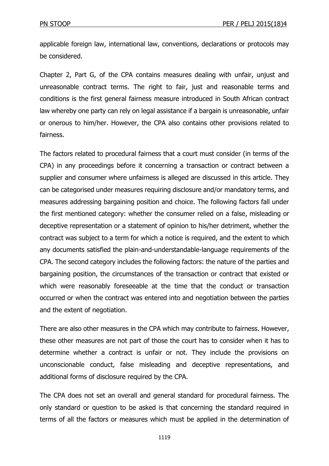applicable foreign law, international law, conventions, declarations or protocols may be considered.

Chapter 2, Part G, of the CPA contains measures dealing with unfair, unjust and unreasonable contract terms. The right to fair, just and reasonable terms and conditions is the first general fairness measure introduced in South African contract law whereby one party can rely on legal assistance if a bargain is unreasonable, unfair or onerous to him/her. However, the CPA also contains other provisions related to fairness.

The factors related to procedural fairness that a court must consider (in terms of the CPA) in any proceedings before it concerning a transaction or contract between a supplier and consumer where unfairness is alleged are discussed in this article. They can be categorised under measures requiring disclosure and/or mandatory terms, and measures addressing bargaining position and choice. The following factors fall under the first mentioned category: whether the consumer relied on a false, misleading or deceptive representation or a statement of opinion to his/her detriment, whether the contract was subject to a term for which a notice is required, and the extent to which any documents satisfied the plain-and-understandable-language requirements of the CPA. The second category includes the following factors: the nature of the parties and bargaining position, the circumstances of the transaction or contract that existed or which were reasonably foreseeable at the time that the conduct or transaction occurred or when the contract was entered into and negotiation between the parties and the extent of negotiation.

There are also other measures in the CPA which may contribute to fairness. However, these other measures are not part of those the court has to consider when it has to determine whether a contract is unfair or not. They include the provisions on unconscionable conduct, false misleading and deceptive representations, and additional forms of disclosure required by the CPA.

The CPA does not set an overall and general standard for procedural fairness. The only standard or question to be asked is that concerning the standard required in terms of all the factors or measures which must be applied in the determination of

1119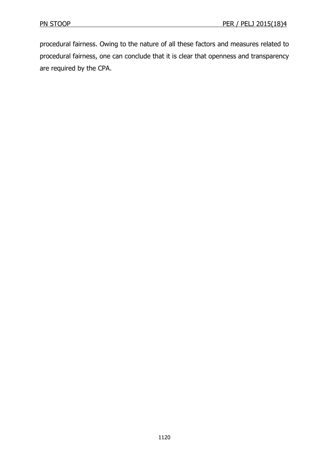procedural fairness. Owing to the nature of all these factors and measures related to procedural fairness, one can conclude that it is clear that openness and transparency are required by the CPA.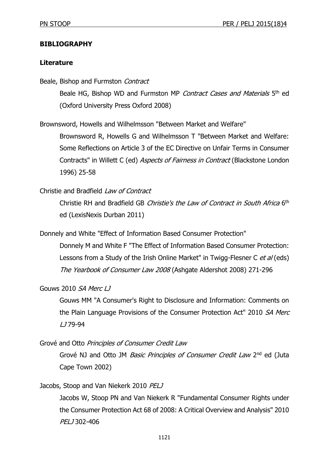# **BIBLIOGRAPHY**

### **Literature**

Beale, Bishop and Furmston Contract

Beale HG, Bishop WD and Furmston MP Contract Cases and Materials 5<sup>th</sup> ed (Oxford University Press Oxford 2008)

Brownsword, Howells and Wilhelmsson "Between Market and Welfare"

Brownsword R, Howells G and Wilhelmsson T "Between Market and Welfare: Some Reflections on Article 3 of the EC Directive on Unfair Terms in Consumer Contracts" in Willett C (ed) Aspects of Fairness in Contract (Blackstone London 1996) 25-58

# Christie and Bradfield Law of Contract

Christie RH and Bradfield GB Christie's the Law of Contract in South Africa 6<sup>th</sup> ed (LexisNexis Durban 2011)

Donnely and White "Effect of Information Based Consumer Protection"

Donnely M and White F "The Effect of Information Based Consumer Protection: Lessons from a Study of the Irish Online Market" in Twigg-Flesner C et al (eds) The Yearbook of Consumer Law 2008 (Ashgate Aldershot 2008) 271-296

### Gouws 2010 SA Merc LJ

Gouws MM "A Consumer's Right to Disclosure and Information: Comments on the Plain Language Provisions of the Consumer Protection Act" 2010 SA Merc LJ 79-94

### Grové and Otto Principles of Consumer Credit Law

Grové NJ and Otto JM *Basic Principles of Consumer Credit Law* 2<sup>nd</sup> ed (Juta Cape Town 2002)

#### Jacobs, Stoop and Van Niekerk 2010 PELJ

Jacobs W, Stoop PN and Van Niekerk R "Fundamental Consumer Rights under the Consumer Protection Act 68 of 2008: A Critical Overview and Analysis" 2010 PELJ 302-406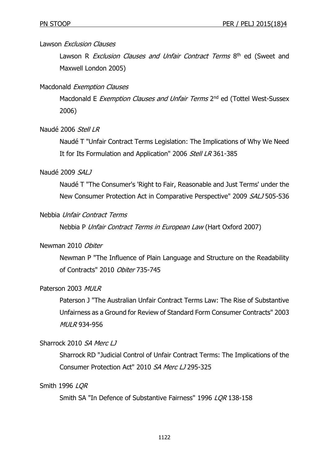# Lawson Exclusion Clauses

Lawson R Exclusion Clauses and Unfair Contract Terms 8<sup>th</sup> ed (Sweet and Maxwell London 2005)

## Macdonald Exemption Clauses

Macdonald E Exemption Clauses and Unfair Terms 2<sup>nd</sup> ed (Tottel West-Sussex 2006)

# Naudé 2006 Stell LR

Naudé T "Unfair Contract Terms Legislation: The Implications of Why We Need It for Its Formulation and Application" 2006 Stell LR 361-385

### Naudé 2009 SALJ

Naudé T "The Consumer's 'Right to Fair, Reasonable and Just Terms' under the New Consumer Protection Act in Comparative Perspective" 2009 SALJ 505-536

# Nebbia Unfair Contract Terms

Nebbia P Unfair Contract Terms in European Law (Hart Oxford 2007)

# Newman 2010 Obiter

Newman P "The Influence of Plain Language and Structure on the Readability of Contracts" 2010 Obiter 735-745

### Paterson 2003 MULR

Paterson J "The Australian Unfair Contract Terms Law: The Rise of Substantive Unfairness as a Ground for Review of Standard Form Consumer Contracts" 2003 MULR 934-956

# Sharrock 2010 SA Merc LJ

Sharrock RD "Judicial Control of Unfair Contract Terms: The Implications of the Consumer Protection Act" 2010 SA Merc LJ 295-325

### Smith 1996 LOR

Smith SA "In Defence of Substantive Fairness" 1996 LOR 138-158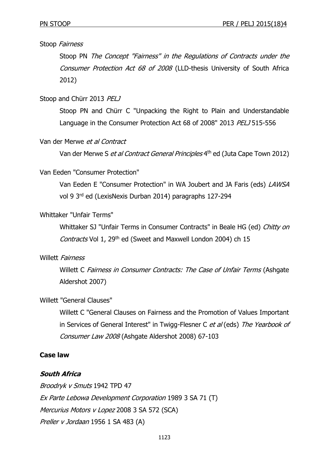## Stoop Fairness

Stoop PN The Concept "Fairness" in the Regulations of Contracts under the Consumer Protection Act 68 of 2008 (LLD-thesis University of South Africa 2012)

# Stoop and Chürr 2013 PELJ

Stoop PN and Chürr C "Unpacking the Right to Plain and Understandable Language in the Consumer Protection Act 68 of 2008" 2013 PELJ 515-556

# Van der Merwe et al Contract

Van der Merwe S *et al Contract General Principles* 4<sup>th</sup> ed (Juta Cape Town 2012)

### Van Eeden "Consumer Protection"

Van Eeden E "Consumer Protection" in WA Joubert and JA Faris (eds) LAWSA vol 9 3rd ed (LexisNexis Durban 2014) paragraphs 127-294

### Whittaker "Unfair Terms"

Whittaker SJ "Unfair Terms in Consumer Contracts" in Beale HG (ed) Chitty on Contracts Vol 1, 29<sup>th</sup> ed (Sweet and Maxwell London 2004) ch 15

# Willett Fairness

Willett C Fairness in Consumer Contracts: The Case of Unfair Terms (Ashgate Aldershot 2007)

### Willett "General Clauses"

Willett C "General Clauses on Fairness and the Promotion of Values Important in Services of General Interest" in Twigg-Flesner C et al (eds) The Yearbook of Consumer Law 2008 (Ashgate Aldershot 2008) 67-103

### **Case law**

### **South Africa**

Broodryk v Smuts 1942 TPD 47 Ex Parte Lebowa Development Corporation 1989 3 SA 71 (T) Mercurius Motors v Lopez 2008 3 SA 572 (SCA) Preller v Jordaan 1956 1 SA 483 (A)